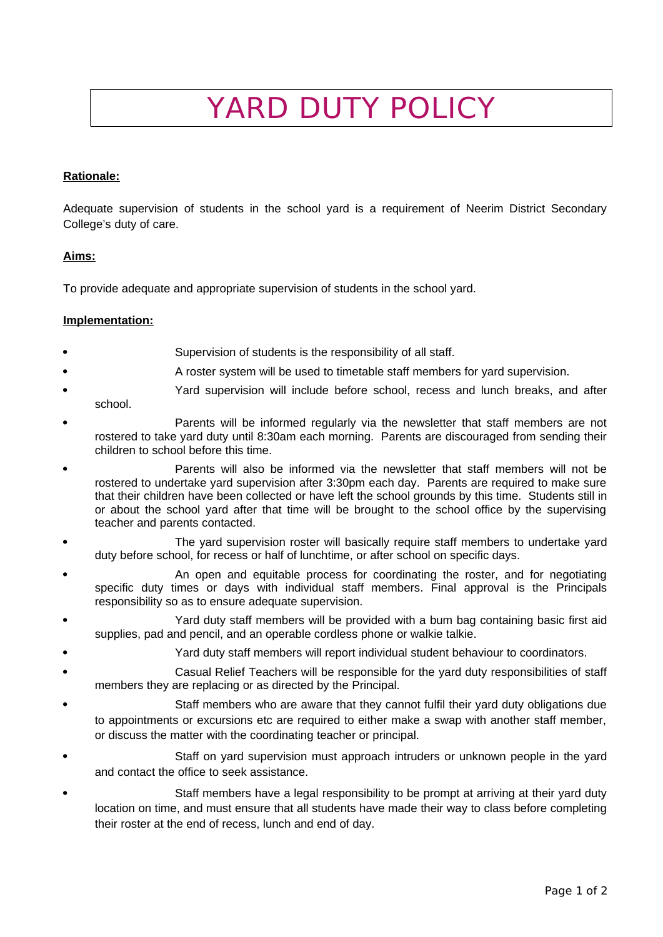# YARD DUTY POLICY

### **Rationale:**

Adequate supervision of students in the school yard is a requirement of Neerim District Secondary College's duty of care.

### **Aims:**

To provide adequate and appropriate supervision of students in the school yard.

### **Implementation:**

- Supervision of students is the responsibility of all staff.
- A roster system will be used to timetable staff members for yard supervision.
- Yard supervision will include before school, recess and lunch breaks, and after school.
- Parents will be informed regularly via the newsletter that staff members are not rostered to take yard duty until 8:30am each morning. Parents are discouraged from sending their children to school before this time.
- Parents will also be informed via the newsletter that staff members will not be rostered to undertake yard supervision after 3:30pm each day. Parents are required to make sure that their children have been collected or have left the school grounds by this time. Students still in or about the school yard after that time will be brought to the school office by the supervising teacher and parents contacted.
- The yard supervision roster will basically require staff members to undertake yard duty before school, for recess or half of lunchtime, or after school on specific days.
- An open and equitable process for coordinating the roster, and for negotiating specific duty times or days with individual staff members. Final approval is the Principals responsibility so as to ensure adequate supervision.
- Yard duty staff members will be provided with a bum bag containing basic first aid supplies, pad and pencil, and an operable cordless phone or walkie talkie.
	- Yard duty staff members will report individual student behaviour to coordinators.
- Casual Relief Teachers will be responsible for the yard duty responsibilities of staff members they are replacing or as directed by the Principal.
- Staff members who are aware that they cannot fulfil their yard duty obligations due to appointments or excursions etc are required to either make a swap with another staff member, or discuss the matter with the coordinating teacher or principal.
- Staff on yard supervision must approach intruders or unknown people in the yard and contact the office to seek assistance.
- Staff members have a legal responsibility to be prompt at arriving at their yard duty location on time, and must ensure that all students have made their way to class before completing their roster at the end of recess, lunch and end of day.